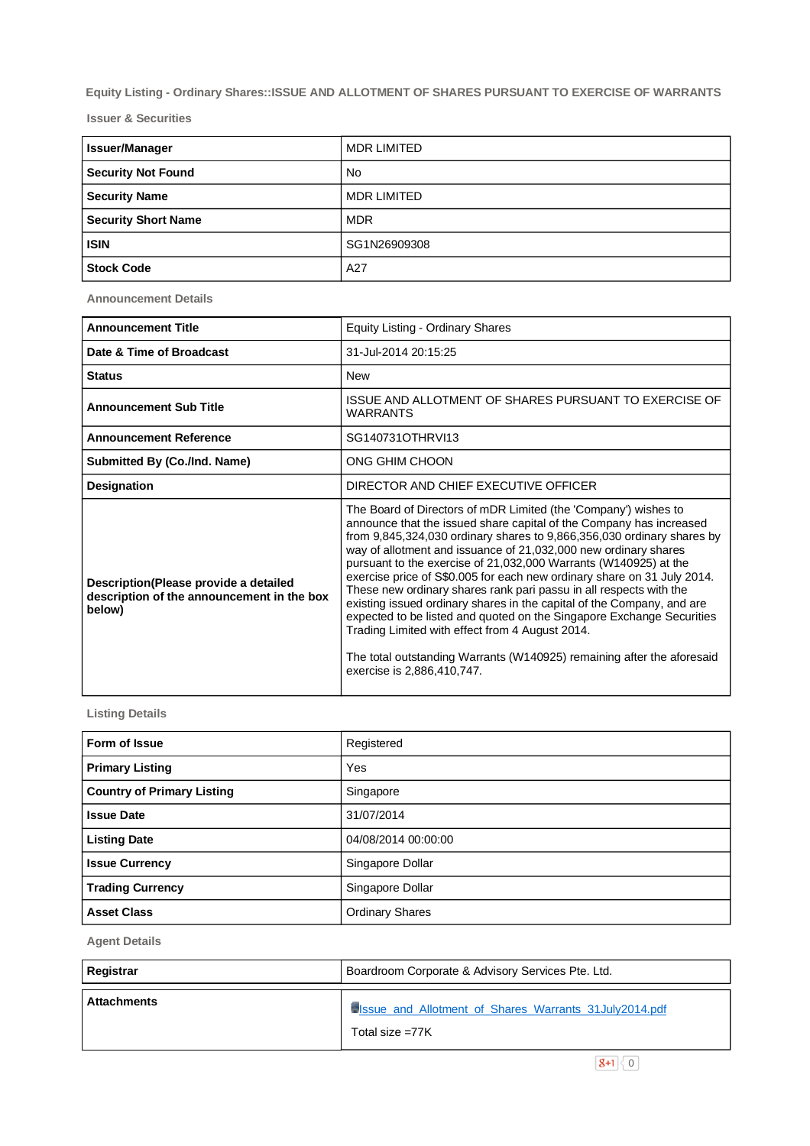**Equity Listing - Ordinary Shares::ISSUE AND ALLOTMENT OF SHARES PURSUANT TO EXERCISE OF WARRANTS**

**Issuer & Securities**

| <b>Issuer/Manager</b>      | <b>MDR LIMITED</b> |
|----------------------------|--------------------|
| <b>Security Not Found</b>  | No.                |
| <b>Security Name</b>       | <b>MDR LIMITED</b> |
| <b>Security Short Name</b> | <b>MDR</b>         |
| <b>ISIN</b>                | SG1N26909308       |
| <b>Stock Code</b>          | A27                |

**Announcement Details**

| <b>Announcement Title</b>                                                                      | Equity Listing - Ordinary Shares                                                                                                                                                                                                                                                                                                                                                                                                                                                                                                                                                                                                                                                                                                                                                                                       |  |  |
|------------------------------------------------------------------------------------------------|------------------------------------------------------------------------------------------------------------------------------------------------------------------------------------------------------------------------------------------------------------------------------------------------------------------------------------------------------------------------------------------------------------------------------------------------------------------------------------------------------------------------------------------------------------------------------------------------------------------------------------------------------------------------------------------------------------------------------------------------------------------------------------------------------------------------|--|--|
| Date & Time of Broadcast                                                                       | 31-Jul-2014 20:15:25                                                                                                                                                                                                                                                                                                                                                                                                                                                                                                                                                                                                                                                                                                                                                                                                   |  |  |
| <b>Status</b>                                                                                  | <b>New</b>                                                                                                                                                                                                                                                                                                                                                                                                                                                                                                                                                                                                                                                                                                                                                                                                             |  |  |
| <b>Announcement Sub Title</b>                                                                  | ISSUE AND ALLOTMENT OF SHARES PURSUANT TO EXERCISE OF<br><b>WARRANTS</b>                                                                                                                                                                                                                                                                                                                                                                                                                                                                                                                                                                                                                                                                                                                                               |  |  |
| <b>Announcement Reference</b>                                                                  | SG140731OTHRVI13                                                                                                                                                                                                                                                                                                                                                                                                                                                                                                                                                                                                                                                                                                                                                                                                       |  |  |
| Submitted By (Co./Ind. Name)                                                                   | ONG GHIM CHOON                                                                                                                                                                                                                                                                                                                                                                                                                                                                                                                                                                                                                                                                                                                                                                                                         |  |  |
| <b>Designation</b>                                                                             | DIRECTOR AND CHIEF EXECUTIVE OFFICER                                                                                                                                                                                                                                                                                                                                                                                                                                                                                                                                                                                                                                                                                                                                                                                   |  |  |
| Description (Please provide a detailed<br>description of the announcement in the box<br>below) | The Board of Directors of mDR Limited (the 'Company') wishes to<br>announce that the issued share capital of the Company has increased<br>from 9,845,324,030 ordinary shares to 9,866,356,030 ordinary shares by<br>way of allotment and issuance of 21,032,000 new ordinary shares<br>pursuant to the exercise of 21,032,000 Warrants (W140925) at the<br>exercise price of S\$0.005 for each new ordinary share on 31 July 2014.<br>These new ordinary shares rank pari passu in all respects with the<br>existing issued ordinary shares in the capital of the Company, and are<br>expected to be listed and quoted on the Singapore Exchange Securities<br>Trading Limited with effect from 4 August 2014.<br>The total outstanding Warrants (W140925) remaining after the aforesaid<br>exercise is 2,886,410,747. |  |  |

**Listing Details**

| Form of Issue                     | Registered             |
|-----------------------------------|------------------------|
| <b>Primary Listing</b>            | Yes                    |
| <b>Country of Primary Listing</b> | Singapore              |
| <b>Issue Date</b>                 | 31/07/2014             |
| <b>Listing Date</b>               | 04/08/2014 00:00:00    |
| <b>Issue Currency</b>             | Singapore Dollar       |
| <b>Trading Currency</b>           | Singapore Dollar       |
| <b>Asset Class</b>                | <b>Ordinary Shares</b> |

**Agent Details**

| Registrar          | Boardroom Corporate & Advisory Services Pte. Ltd.                           |
|--------------------|-----------------------------------------------------------------------------|
| <b>Attachments</b> | Sissue_and_Allotment_of_Shares_Warrants_31July2014.pdf<br>Total size $=77K$ |